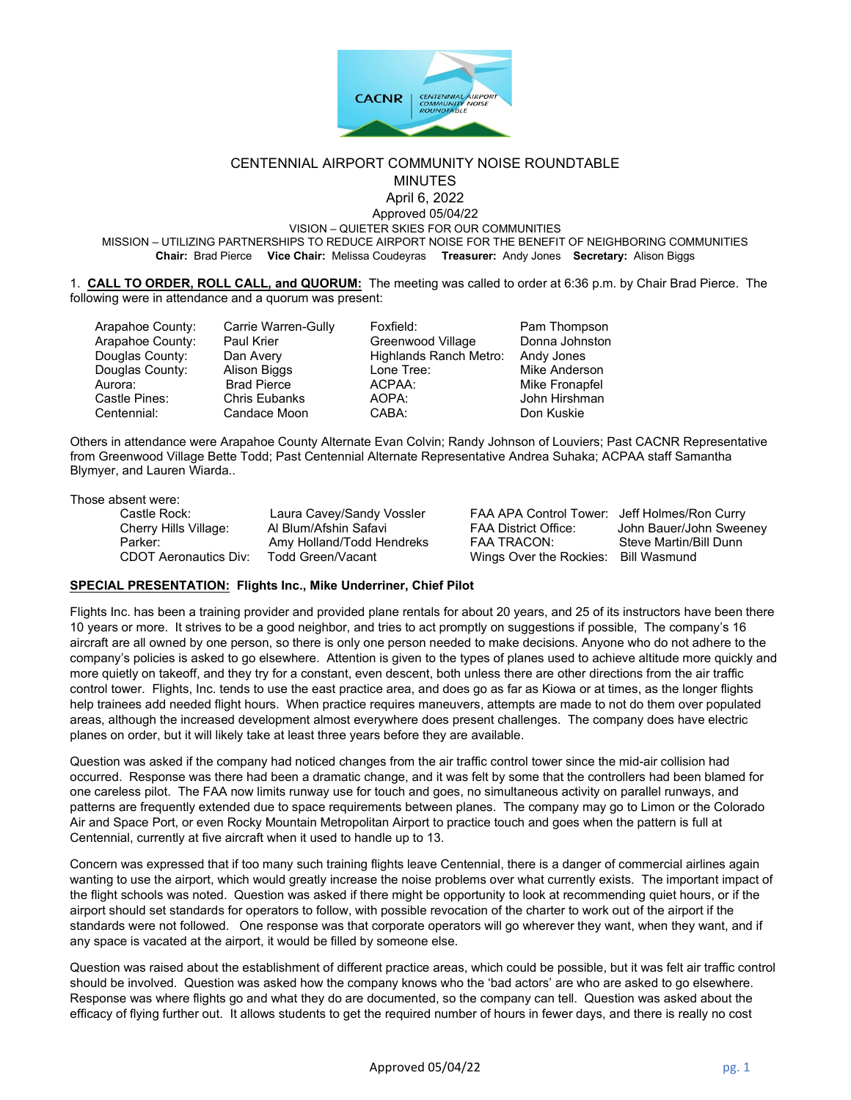

### CENTENNIAL AIRPORT COMMUNITY NOISE ROUNDTABLE MINUTES

April 6, 2022

Approved 05/04/22

VISION – QUIETER SKIES FOR OUR COMMUNITIES

MISSION – UTILIZING PARTNERSHIPS TO REDUCE AIRPORT NOISE FOR THE BENEFIT OF NEIGHBORING COMMUNITIES **Chair:** Brad Pierce **Vice Chair:** Melissa Coudeyras **Treasurer:** Andy Jones **Secretary:** Alison Biggs

1. **CALL TO ORDER, ROLL CALL, and QUORUM:** The meeting was called to order at 6:36 p.m. by Chair Brad Pierce. The following were in attendance and a quorum was present:

Arapahoe County: Carrie Warren-Gully Foxfield: Pam Thompson Arapahoe County: Paul Krier Greenwood Village Donna Johnston Douglas County: Dan Avery Highlands Ranch Metro: Andy Jones Douglas County: Alison Biggs Lone Tree: Mike Anderson Aurora: Brad Pierce ACPAA: Mike Fronapfel Centennial: Candace Moon

AOPA: John Hirshman<br>CABA: Don Kuskie

Others in attendance were Arapahoe County Alternate Evan Colvin; Randy Johnson of Louviers; Past CACNR Representative from Greenwood Village Bette Todd; Past Centennial Alternate Representative Andrea Suhaka; ACPAA staff Samantha Blymyer, and Lauren Wiarda..

Those absent were:

| Castle Rock:                 | Laura Cavey/Sandy Vossler | FAA APA Control Tower: Jeff Holmes/Ron Curry |                         |
|------------------------------|---------------------------|----------------------------------------------|-------------------------|
| Cherry Hills Village:        | Al Blum/Afshin Safavi     | FAA District Office:                         | John Bauer/John Sweeney |
| Parker:                      | Amy Holland/Todd Hendreks | FAA TRACON:                                  | Steve Martin/Bill Dunn  |
| <b>CDOT Aeronautics Div:</b> | Todd Green/Vacant         | Wings Over the Rockies:                      | Bill Wasmund            |
|                              |                           |                                              |                         |

# **SPECIAL PRESENTATION: Flights Inc., Mike Underriner, Chief Pilot**

Flights Inc. has been a training provider and provided plane rentals for about 20 years, and 25 of its instructors have been there 10 years or more. It strives to be a good neighbor, and tries to act promptly on suggestions if possible, The company's 16 aircraft are all owned by one person, so there is only one person needed to make decisions. Anyone who do not adhere to the company's policies is asked to go elsewhere. Attention is given to the types of planes used to achieve altitude more quickly and more quietly on takeoff, and they try for a constant, even descent, both unless there are other directions from the air traffic control tower. Flights, Inc. tends to use the east practice area, and does go as far as Kiowa or at times, as the longer flights help trainees add needed flight hours. When practice requires maneuvers, attempts are made to not do them over populated areas, although the increased development almost everywhere does present challenges. The company does have electric planes on order, but it will likely take at least three years before they are available.

Question was asked if the company had noticed changes from the air traffic control tower since the mid-air collision had occurred. Response was there had been a dramatic change, and it was felt by some that the controllers had been blamed for one careless pilot. The FAA now limits runway use for touch and goes, no simultaneous activity on parallel runways, and patterns are frequently extended due to space requirements between planes. The company may go to Limon or the Colorado Air and Space Port, or even Rocky Mountain Metropolitan Airport to practice touch and goes when the pattern is full at Centennial, currently at five aircraft when it used to handle up to 13.

Concern was expressed that if too many such training flights leave Centennial, there is a danger of commercial airlines again wanting to use the airport, which would greatly increase the noise problems over what currently exists. The important impact of the flight schools was noted. Question was asked if there might be opportunity to look at recommending quiet hours, or if the airport should set standards for operators to follow, with possible revocation of the charter to work out of the airport if the standards were not followed. One response was that corporate operators will go wherever they want, when they want, and if any space is vacated at the airport, it would be filled by someone else.

Question was raised about the establishment of different practice areas, which could be possible, but it was felt air traffic control should be involved. Question was asked how the company knows who the 'bad actors' are who are asked to go elsewhere. Response was where flights go and what they do are documented, so the company can tell. Question was asked about the efficacy of flying further out. It allows students to get the required number of hours in fewer days, and there is really no cost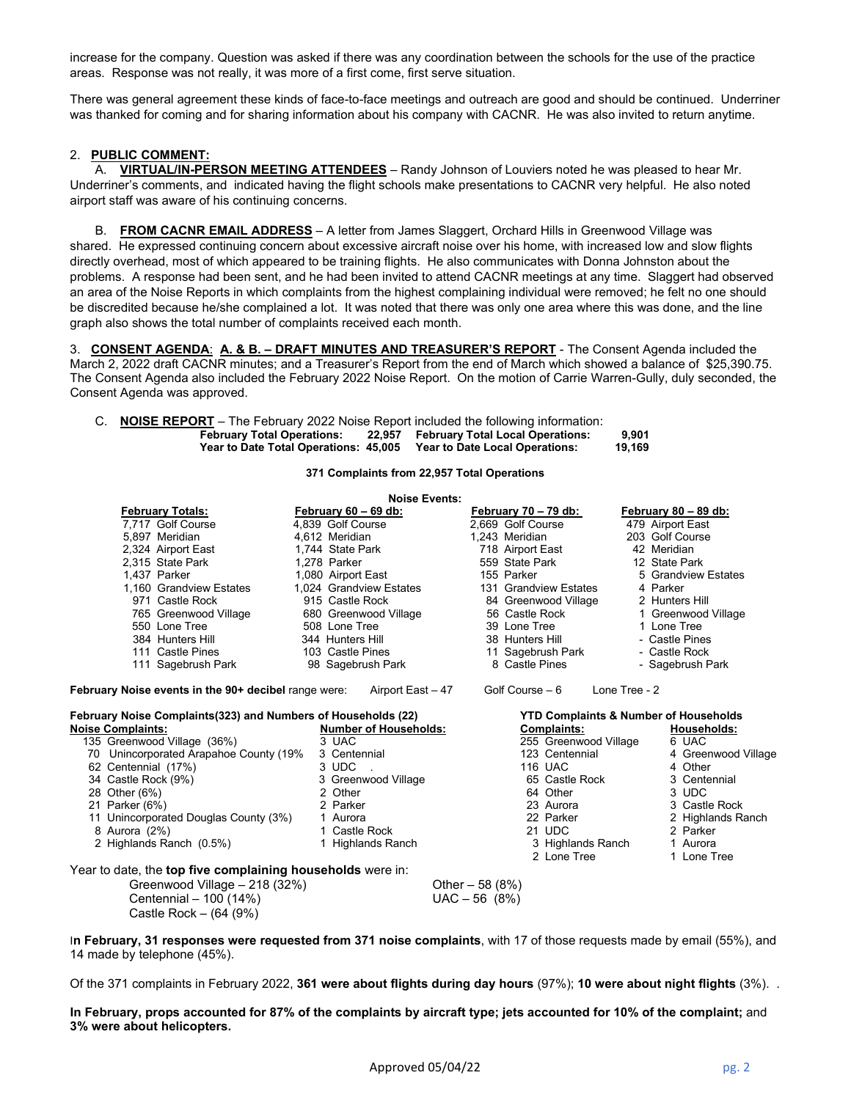increase for the company. Question was asked if there was any coordination between the schools for the use of the practice areas. Response was not really, it was more of a first come, first serve situation.

There was general agreement these kinds of face-to-face meetings and outreach are good and should be continued. Underriner was thanked for coming and for sharing information about his company with CACNR. He was also invited to return anytime.

### 2. **PUBLIC COMMENT:**

A. **VIRTUAL/IN-PERSON MEETING ATTENDEES** – Randy Johnson of Louviers noted he was pleased to hear Mr. Underriner's comments, and indicated having the flight schools make presentations to CACNR very helpful. He also noted airport staff was aware of his continuing concerns.

B. **FROM CACNR EMAIL ADDRESS** – A letter from James Slaggert, Orchard Hills in Greenwood Village was shared. He expressed continuing concern about excessive aircraft noise over his home, with increased low and slow flights directly overhead, most of which appeared to be training flights. He also communicates with Donna Johnston about the problems. A response had been sent, and he had been invited to attend CACNR meetings at any time. Slaggert had observed an area of the Noise Reports in which complaints from the highest complaining individual were removed; he felt no one should be discredited because he/she complained a lot. It was noted that there was only one area where this was done, and the line graph also shows the total number of complaints received each month.

3. **CONSENT AGENDA**: **A. & B. – DRAFT MINUTES AND TREASURER'S REPORT** - The Consent Agenda included the March 2, 2022 draft CACNR minutes; and a Treasurer's Report from the end of March which showed a balance of \$25,390.75. The Consent Agenda also included the February 2022 Noise Report. On the motion of Carrie Warren-Gully, duly seconded, the Consent Agenda was approved.

| C. <b>NOISE REPORT</b> – The February 2022 Noise Report included the following information: |                                                                      |        |  |  |  |
|---------------------------------------------------------------------------------------------|----------------------------------------------------------------------|--------|--|--|--|
|                                                                                             | February Total Operations: 22,957 February Total Local Operations:   | 9.901  |  |  |  |
|                                                                                             | Year to Date Total Operations: 45,005 Year to Date Local Operations: | 19.169 |  |  |  |

**371 Complaints from 22,957 Total Operations**

|                                                                   | <b>Noise Events:</b>                  |                                      |                         |
|-------------------------------------------------------------------|---------------------------------------|--------------------------------------|-------------------------|
| <b>February Totals:</b>                                           | February 60 - 69 db:                  | February $70 - 79$ db:               | February 80 - 89 db:    |
| 7,717 Golf Course                                                 | 4,839 Golf Course                     | 2,669 Golf Course                    | 479 Airport East        |
| 5.897 Meridian                                                    | 4.612 Meridian                        | 1.243 Meridian                       | 203 Golf Course         |
| 2,324 Airport East                                                | 1,744 State Park                      | 718 Airport East                     | 42 Meridian             |
| 2.315 State Park                                                  | 1.278 Parker                          | 559 State Park                       | 12 State Park           |
| 1.437 Parker                                                      | 1,080 Airport East                    | 155 Parker                           | 5 Grandview Estates     |
| 1,160 Grandview Estates                                           | 1,024 Grandview Estates               | 131 Grandview Estates                | 4 Parker                |
| 971 Castle Rock                                                   | 915 Castle Rock                       | 84 Greenwood Village                 | 2 Hunters Hill          |
| 765 Greenwood Village                                             | 680 Greenwood Village                 | 56 Castle Rock                       | 1 Greenwood Village     |
| 550 Lone Tree                                                     | 508 Lone Tree                         | 39 Lone Tree                         | 1 Lone Tree             |
| 384 Hunters Hill                                                  | 344 Hunters Hill                      | 38 Hunters Hill                      | - Castle Pines          |
| 111 Castle Pines                                                  | 103 Castle Pines                      | 11 Sagebrush Park                    | - Castle Rock           |
| 111 Sagebrush Park                                                | 98 Sagebrush Park                     | 8 Castle Pines                       | - Sagebrush Park        |
| <b>Noise Complaints:</b><br>135 Greenwood Village (36%)           | <b>Number of Households:</b><br>3 UAC | Complaints:<br>255 Greenwood Village | Households:<br>6 UAC    |
|                                                                   |                                       |                                      |                         |
| 70 Unincorporated Arapahoe County (19%<br>62 Centennial (17%)     | 3 Centennial<br>3 UDC                 | 123 Centennial                       | 4 Greenwood Village     |
|                                                                   |                                       |                                      |                         |
|                                                                   |                                       | <b>116 UAC</b>                       | 4 Other                 |
| 34 Castle Rock (9%)                                               | 3 Greenwood Village                   | 65 Castle Rock                       | 3 Centennial            |
| 28 Other (6%)                                                     | 2 Other                               | 64 Other                             | 3 UDC                   |
| 21 Parker (6%)                                                    | 2 Parker                              | 23 Aurora                            | 3 Castle Rock           |
| 11 Unincorporated Douglas County (3%)                             | 1 Aurora                              | 22 Parker                            | 2 Highlands Ranch       |
| 8 Aurora (2%)                                                     | 1 Castle Rock                         | 21 UDC                               | 2 Parker                |
| 2 Highlands Ranch (0.5%)                                          | 1 Highlands Ranch                     | 3 Highlands Ranch<br>2 Lone Tree     | 1 Aurora<br>1 Lone Tree |
|                                                                   |                                       |                                      |                         |
| Year to date, the <b>top five complaining households</b> were in: |                                       |                                      |                         |
| Greenwood Village - 218 (32%)                                     |                                       | Other $-58(8%)$                      |                         |
| Centennial - 100 (14%)<br>Castle Rock $-$ (64 (9%)                |                                       | $UAC - 56$ (8%)                      |                         |

I**n February, 31 responses were requested from 371 noise complaints**, with 17 of those requests made by email (55%), and 14 made by telephone (45%).

Of the 371 complaints in February 2022, **361 were about flights during day hours** (97%); **10 were about night flights** (3%). .

**In February, props accounted for 87% of the complaints by aircraft type; jets accounted for 10% of the complaint;** and **3% were about helicopters.**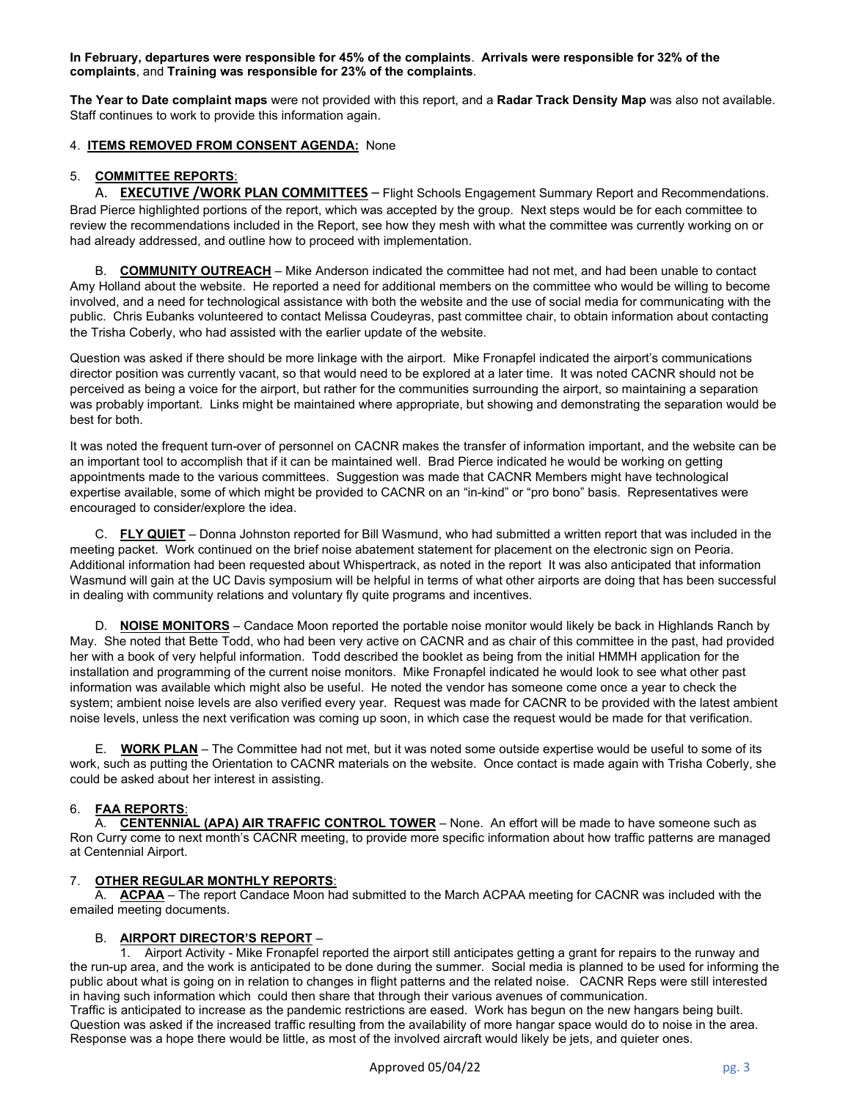**In February, departures were responsible for 45% of the complaints**. **Arrivals were responsible for 32% of the complaints**, and **Training was responsible for 23% of the complaints**.

**The Year to Date complaint maps** were not provided with this report, and a **Radar Track Density Map** was also not available. Staff continues to work to provide this information again.

# 4. **ITEMS REMOVED FROM CONSENT AGENDA:** None

# 5. **COMMITTEE REPORTS**:

A. **EXECUTIVE /WORK PLAN COMMITTEES** – Flight Schools Engagement Summary Report and Recommendations. Brad Pierce highlighted portions of the report, which was accepted by the group. Next steps would be for each committee to review the recommendations included in the Report, see how they mesh with what the committee was currently working on or had already addressed, and outline how to proceed with implementation.

B. **COMMUNITY OUTREACH** – Mike Anderson indicated the committee had not met, and had been unable to contact Amy Holland about the website. He reported a need for additional members on the committee who would be willing to become involved, and a need for technological assistance with both the website and the use of social media for communicating with the public. Chris Eubanks volunteered to contact Melissa Coudeyras, past committee chair, to obtain information about contacting the Trisha Coberly, who had assisted with the earlier update of the website.

Question was asked if there should be more linkage with the airport. Mike Fronapfel indicated the airport's communications director position was currently vacant, so that would need to be explored at a later time. It was noted CACNR should not be perceived as being a voice for the airport, but rather for the communities surrounding the airport, so maintaining a separation was probably important. Links might be maintained where appropriate, but showing and demonstrating the separation would be best for both.

It was noted the frequent turn-over of personnel on CACNR makes the transfer of information important, and the website can be an important tool to accomplish that if it can be maintained well. Brad Pierce indicated he would be working on getting appointments made to the various committees. Suggestion was made that CACNR Members might have technological expertise available, some of which might be provided to CACNR on an "in-kind" or "pro bono" basis. Representatives were encouraged to consider/explore the idea.

C. **FLY QUIET** – Donna Johnston reported for Bill Wasmund, who had submitted a written report that was included in the meeting packet. Work continued on the brief noise abatement statement for placement on the electronic sign on Peoria. Additional information had been requested about Whispertrack, as noted in the report It was also anticipated that information Wasmund will gain at the UC Davis symposium will be helpful in terms of what other airports are doing that has been successful in dealing with community relations and voluntary fly quite programs and incentives.

D. **NOISE MONITORS** – Candace Moon reported the portable noise monitor would likely be back in Highlands Ranch by May. She noted that Bette Todd, who had been very active on CACNR and as chair of this committee in the past, had provided her with a book of very helpful information. Todd described the booklet as being from the initial HMMH application for the installation and programming of the current noise monitors. Mike Fronapfel indicated he would look to see what other past information was available which might also be useful. He noted the vendor has someone come once a year to check the system; ambient noise levels are also verified every year. Request was made for CACNR to be provided with the latest ambient noise levels, unless the next verification was coming up soon, in which case the request would be made for that verification.

E. **WORK PLAN** – The Committee had not met, but it was noted some outside expertise would be useful to some of its work, such as putting the Orientation to CACNR materials on the website. Once contact is made again with Trisha Coberly, she could be asked about her interest in assisting.

## 6. **FAA REPORTS**:

A. **CENTENNIAL (APA) AIR TRAFFIC CONTROL TOWER** – None. An effort will be made to have someone such as Ron Curry come to next month's CACNR meeting, to provide more specific information about how traffic patterns are managed at Centennial Airport.

# 7. **OTHER REGULAR MONTHLY REPORTS**:

A. **ACPAA** – The report Candace Moon had submitted to the March ACPAA meeting for CACNR was included with the emailed meeting documents.

## B. **AIRPORT DIRECTOR'S REPORT** –

1. Airport Activity - Mike Fronapfel reported the airport still anticipates getting a grant for repairs to the runway and the run-up area, and the work is anticipated to be done during the summer. Social media is planned to be used for informing the public about what is going on in relation to changes in flight patterns and the related noise. CACNR Reps were still interested in having such information which could then share that through their various avenues of communication.

Traffic is anticipated to increase as the pandemic restrictions are eased. Work has begun on the new hangars being built. Question was asked if the increased traffic resulting from the availability of more hangar space would do to noise in the area. Response was a hope there would be little, as most of the involved aircraft would likely be jets, and quieter ones.